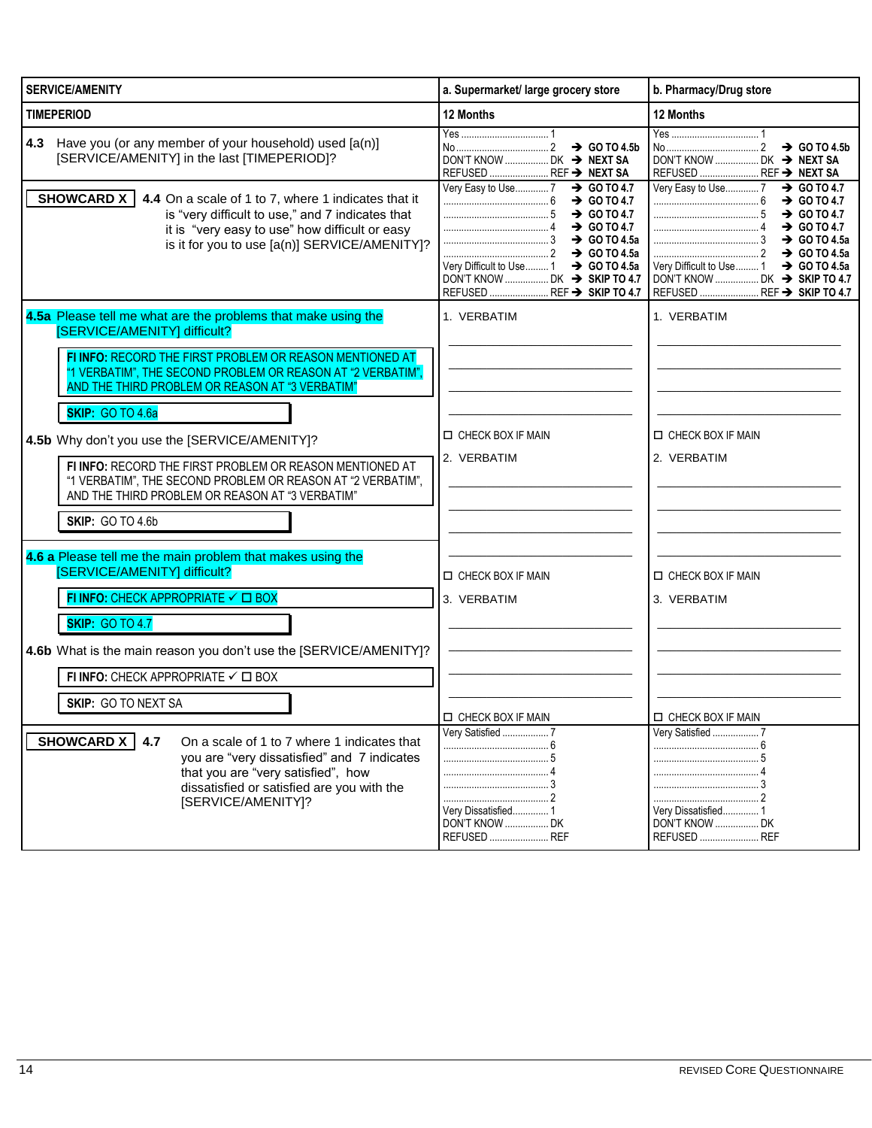| <b>SERVICE/AMENITY</b>                                                                                                                                                                                                    | a. Supermarket/ large grocery store                                                                                                                                               | b. Pharmacy/Drug store                                                                                                                                                                  |
|---------------------------------------------------------------------------------------------------------------------------------------------------------------------------------------------------------------------------|-----------------------------------------------------------------------------------------------------------------------------------------------------------------------------------|-----------------------------------------------------------------------------------------------------------------------------------------------------------------------------------------|
| <b>TIMEPERIOD</b>                                                                                                                                                                                                         | 12 Months                                                                                                                                                                         | 12 Months                                                                                                                                                                               |
| Have you (or any member of your household) used [a(n)]<br>4.3<br>[SERVICE/AMENITY] in the last [TIMEPERIOD]?                                                                                                              | DON'T KNOW  DK → NEXT SA<br>REFUSED  REF → NEXT SA                                                                                                                                | DON'T KNOW  DK → NEXT SA<br>REFUSED  REF → NEXT SA                                                                                                                                      |
| SHOWCARD X<br>4.4 On a scale of 1 to 7, where 1 indicates that it<br>is "very difficult to use," and 7 indicates that<br>it is "very easy to use" how difficult or easy<br>is it for you to use [a(n)] SERVICE/AMENITY]?  | Very Easy to Use7 → GO TO 4.7<br>$\frac{1}{2}$ GO TO 4.7<br>$\frac{1}{2}$ GO TO 4.7<br>$\ldots$ GO TO 4.5a<br>Very Difficult to Use  1 > GO TO 4.5a<br>REFUSED  REF → SKIP TO 4.7 | Very Easy to Use  7 → GO TO 4.7<br>$\rightarrow$ GO TO 4.7<br>$\rightarrow$ GO TO 4.7<br>$\rightarrow$ GO TO 4.7<br>Very Difficult to Use  1 → GO TO 4.5a<br>REFUSED  REF → SKIP TO 4.7 |
| 4.5a Please tell me what are the problems that make using the<br>[SERVICE/AMENITY] difficult?                                                                                                                             | 1. VERBATIM                                                                                                                                                                       | 1. VERBATIM                                                                                                                                                                             |
| FI INFO: RECORD THE FIRST PROBLEM OR REASON MENTIONED AT<br>"1 VERBATIM", THE SECOND PROBLEM OR REASON AT "2 VERBATIM",<br>AND THE THIRD PROBLEM OR REASON AT "3 VERBATIM"                                                |                                                                                                                                                                                   |                                                                                                                                                                                         |
| <b>SKIP: GO TO 4.6a</b><br>4.5b Why don't you use the [SERVICE/AMENITY]?                                                                                                                                                  | <b>IN CHECK BOX IF MAIN</b><br>2. VERBATIM                                                                                                                                        | CHECK BOX IF MAIN<br>2. VERBATIM                                                                                                                                                        |
| FI INFO: RECORD THE FIRST PROBLEM OR REASON MENTIONED AT<br>"1 VERBATIM", THE SECOND PROBLEM OR REASON AT "2 VERBATIM",<br>AND THE THIRD PROBLEM OR REASON AT "3 VERBATIM"<br><b>SKIP: GO TO 4.6b</b>                     |                                                                                                                                                                                   |                                                                                                                                                                                         |
| 4.6 a Please tell me the main problem that makes using the<br>[SERVICE/AMENITY] difficult?<br>FI INFO: CHECK APPROPRIATE √ □ BOX                                                                                          | <b>IN CHECK BOX IF MAIN</b><br>3. VERBATIM                                                                                                                                        | CHECK BOX IF MAIN<br>3. VERBATIM                                                                                                                                                        |
| <b>SKIP: GO TO 4.7</b><br>4.6b What is the main reason you don't use the [SERVICE/AMENITY]?                                                                                                                               |                                                                                                                                                                                   |                                                                                                                                                                                         |
| FI INFO: CHECK APPROPRIATE √ □ BOX                                                                                                                                                                                        |                                                                                                                                                                                   |                                                                                                                                                                                         |
| <b>SKIP: GO TO NEXT SA</b>                                                                                                                                                                                                | <b>LI CHECK BOX IF MAIN</b>                                                                                                                                                       | CHECK BOX IF MAIN                                                                                                                                                                       |
| SHOWCARD X<br>4.7<br>On a scale of 1 to 7 where 1 indicates that<br>you are "very dissatisfied" and 7 indicates<br>that you are "very satisfied", how<br>dissatisfied or satisfied are you with the<br>[SERVICE/AMENITY]? | Very Satisfied  7<br>Very Dissatisfied 1<br>DON'T KNOW  DK<br>REFUSED  REF                                                                                                        | Very Satisfied  7<br>Very Dissatisfied 1<br><b>DON'T KNOW  DK</b><br>REFUSED  REF                                                                                                       |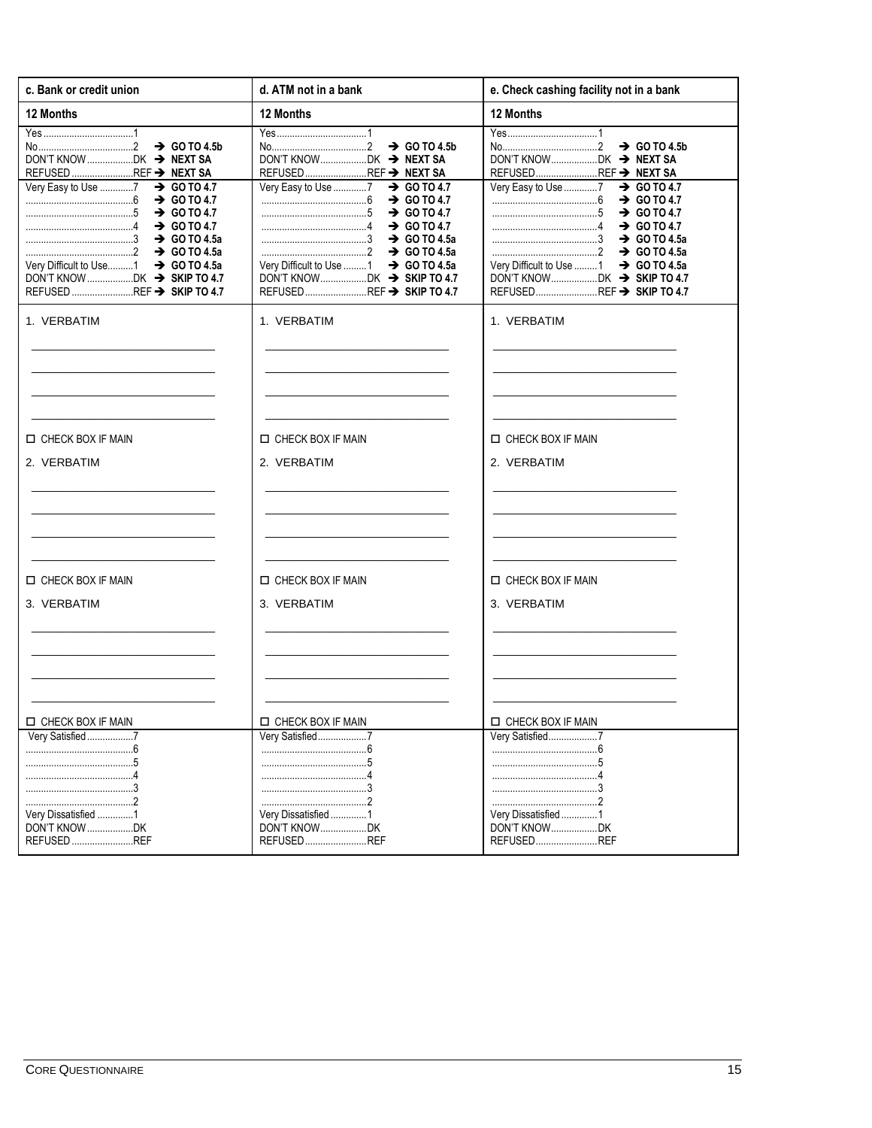| d. ATM not in a bank                                                                                                                                                                                                                                                                          | e. Check cashing facility not in a bank                                                                                                                                                                                                                                                       |
|-----------------------------------------------------------------------------------------------------------------------------------------------------------------------------------------------------------------------------------------------------------------------------------------------|-----------------------------------------------------------------------------------------------------------------------------------------------------------------------------------------------------------------------------------------------------------------------------------------------|
| 12 Months                                                                                                                                                                                                                                                                                     | 12 Months                                                                                                                                                                                                                                                                                     |
| $\rightarrow$ GO TO 4.5b<br>REFUSED REF → NEXT SA<br>Very Easy to Use 7<br>$\rightarrow$ GO TO 4.7<br>$\rightarrow$ GO TO 4.7<br>$\frac{1}{2}$ GO TO 4.7<br>$\cdots$ 60 TO 4.7<br>$\rightarrow$ GO TO 4.5a<br>Very Difficult to Use 1<br>$\rightarrow$ GO TO 4.5a<br>REFUSEDREF → SKIP TO 4.7 | $\rightarrow$ GO TO 4.5b<br>REFUSED REF → NEXT SA<br>Very Easy to Use 7<br>$\rightarrow$ GO TO 4.7<br>$\rightarrow$ GO TO 4.7<br>$\frac{1}{2}$ GO TO 4.7<br>$\cdots$ 60 TO 4.7<br>$\rightarrow$ GO TO 4.5a<br>Very Difficult to Use 1<br>$\rightarrow$ GO TO 4.5a<br>REFUSEDREF → SKIP TO 4.7 |
| 1. VERBATIM                                                                                                                                                                                                                                                                                   | 1. VERBATIM                                                                                                                                                                                                                                                                                   |
|                                                                                                                                                                                                                                                                                               |                                                                                                                                                                                                                                                                                               |
|                                                                                                                                                                                                                                                                                               |                                                                                                                                                                                                                                                                                               |
| <b>D CHECK BOX IF MAIN</b>                                                                                                                                                                                                                                                                    | <b>IN CHECK BOX IF MAIN</b>                                                                                                                                                                                                                                                                   |
| 2. VERBATIM                                                                                                                                                                                                                                                                                   | 2. VERBATIM                                                                                                                                                                                                                                                                                   |
|                                                                                                                                                                                                                                                                                               |                                                                                                                                                                                                                                                                                               |
|                                                                                                                                                                                                                                                                                               |                                                                                                                                                                                                                                                                                               |
| <b>D CHECK BOX IF MAIN</b>                                                                                                                                                                                                                                                                    | <b>IN CHECK BOX IF MAIN</b>                                                                                                                                                                                                                                                                   |
| 3. VERBATIM                                                                                                                                                                                                                                                                                   | 3. VERBATIM                                                                                                                                                                                                                                                                                   |
|                                                                                                                                                                                                                                                                                               |                                                                                                                                                                                                                                                                                               |
|                                                                                                                                                                                                                                                                                               |                                                                                                                                                                                                                                                                                               |
|                                                                                                                                                                                                                                                                                               |                                                                                                                                                                                                                                                                                               |
| CHECK BOX IF MAIN                                                                                                                                                                                                                                                                             | $\Box$ CHECK BOX IF MAIN                                                                                                                                                                                                                                                                      |
| Very Satisfied7<br>Very Dissatisfied 1<br>DON'T KNOWDK                                                                                                                                                                                                                                        | Very Satisfied7<br>Very Dissatisfied1<br>DON'T KNOWDK<br>REFUSEDREF                                                                                                                                                                                                                           |
|                                                                                                                                                                                                                                                                                               | REFUSEDREF                                                                                                                                                                                                                                                                                    |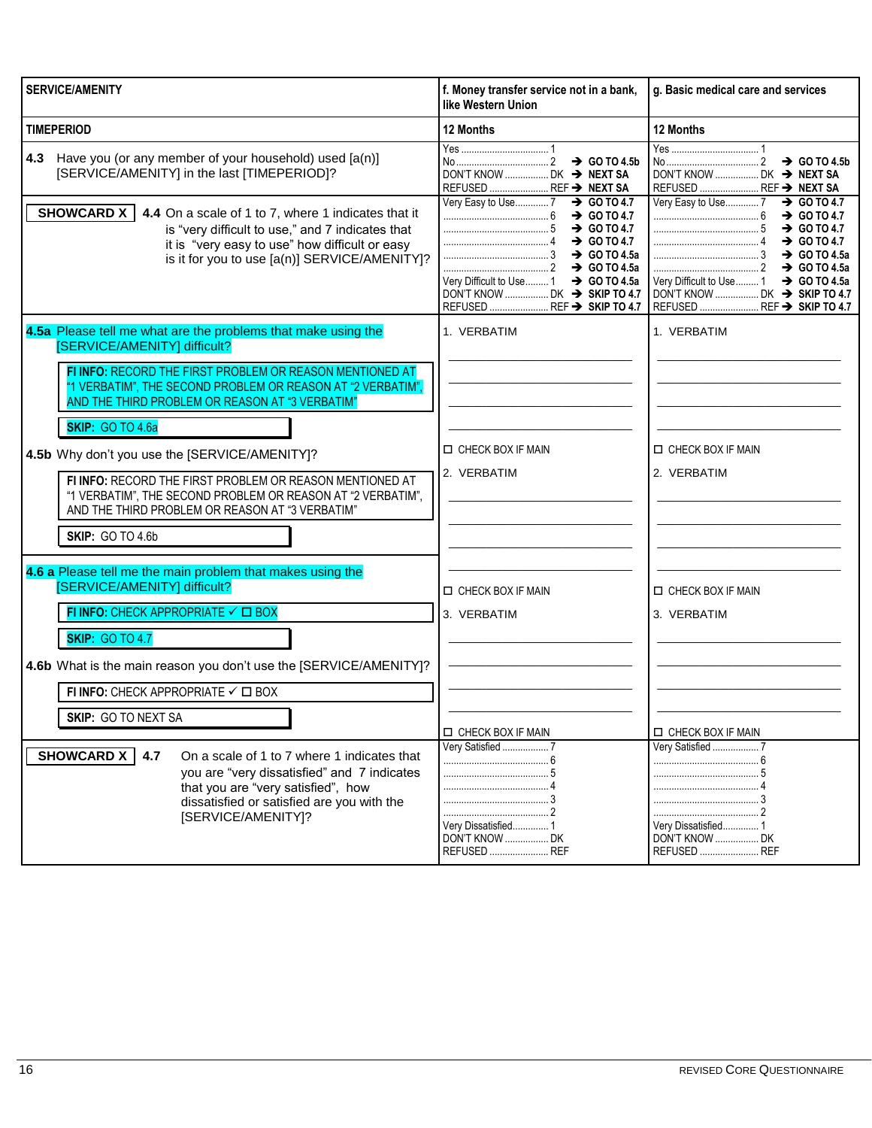| <b>SERVICE/AMENITY</b>                                                                                                                                                                                                                                                                                                                                                                                                                                                                                                                                           | f. Money transfer service not in a bank,<br>like Western Union                                                                                                                                            | g. Basic medical care and services                                                                                                                                                                                                                                |
|------------------------------------------------------------------------------------------------------------------------------------------------------------------------------------------------------------------------------------------------------------------------------------------------------------------------------------------------------------------------------------------------------------------------------------------------------------------------------------------------------------------------------------------------------------------|-----------------------------------------------------------------------------------------------------------------------------------------------------------------------------------------------------------|-------------------------------------------------------------------------------------------------------------------------------------------------------------------------------------------------------------------------------------------------------------------|
| <b>TIMEPERIOD</b>                                                                                                                                                                                                                                                                                                                                                                                                                                                                                                                                                | 12 Months                                                                                                                                                                                                 | 12 Months                                                                                                                                                                                                                                                         |
| Have you (or any member of your household) used [a(n)]<br>4.3<br>[SERVICE/AMENITY] in the last [TIMEPERIOD]?                                                                                                                                                                                                                                                                                                                                                                                                                                                     | $\rightarrow$ GO TO 4.5b<br>DON'T KNOW  DK → NEXT SA<br>REFUSED  REF → NEXT SA                                                                                                                            | DON'T KNOW  DK → NEXT SA<br>REFUSED  REF → NEXT SA                                                                                                                                                                                                                |
| SHOWCARD X  <br>4.4 On a scale of 1 to 7, where 1 indicates that it<br>is "very difficult to use," and 7 indicates that<br>it is "very easy to use" how difficult or easy<br>is it for you to use [a(n)] SERVICE/AMENITY]?                                                                                                                                                                                                                                                                                                                                       | Very Easy to Use7<br>$\rightarrow$ GO TO 4.7<br>$\rightarrow$ GO TO 4.7<br>$\rightarrow$ GO TO 4.7<br>Very Difficult to Use  1 → GO TO 4.5a<br>DON'T KNOW  DK → SKIP TO 4.7<br>REFUSED  REF → SKIP TO 4.7 | Very Easy to Use  7 → GO TO 4.7<br>$\rightarrow$ GO TO 4.7<br>$\rightarrow$ GO TO 4.7<br>$\rightarrow$ GO TO 4.7<br>$\rightarrow$ GO TO 4.5a<br>Very Difficult to Use 1<br>$\rightarrow$ GO TO 4.5a<br>DON'T KNOW  DK → SKIP TO 4.7<br>REFUSED  REF → SKIP TO 4.7 |
| 4.5a Please tell me what are the problems that make using the<br>[SERVICE/AMENITY] difficult?<br>FI INFO: RECORD THE FIRST PROBLEM OR REASON MENTIONED AT<br>"1 VERBATIM", THE SECOND PROBLEM OR REASON AT "2 VERBATIM",<br>AND THE THIRD PROBLEM OR REASON AT "3 VERBATIM"<br><b>SKIP: GO TO 4.6a</b><br>4.5b Why don't you use the [SERVICE/AMENITY]?<br>FI INFO: RECORD THE FIRST PROBLEM OR REASON MENTIONED AT<br>"1 VERBATIM", THE SECOND PROBLEM OR REASON AT "2 VERBATIM",<br>AND THE THIRD PROBLEM OR REASON AT "3 VERBATIM"<br><b>SKIP: GO TO 4.6b</b> | 1. VERBATIM<br><b>D CHECK BOX IF MAIN</b><br>2. VERBATIM                                                                                                                                                  | 1. VERBATIM<br><b>D CHECK BOX IF MAIN</b><br>2. VERBATIM                                                                                                                                                                                                          |
| 4.6 a Please tell me the main problem that makes using the<br>[SERVICE/AMENITY] difficult?<br>FI INFO: CHECK APPROPRIATE $\checkmark$ $\Box$ BOX<br><b>SKIP: GO TO 4.7</b>                                                                                                                                                                                                                                                                                                                                                                                       | <b>D CHECK BOX IF MAIN</b><br>3. VERBATIM                                                                                                                                                                 | <b>D CHECK BOX IF MAIN</b><br>3. VERBATIM                                                                                                                                                                                                                         |
| 4.6b What is the main reason you don't use the [SERVICE/AMENITY]?<br>FI INFO: CHECK APPROPRIATE √ □ BOX<br><b>SKIP: GO TO NEXT SA</b>                                                                                                                                                                                                                                                                                                                                                                                                                            | <b>ID CHECK BOX IF MAIN</b><br>Very Satisfied  7                                                                                                                                                          | <b>ID CHECK BOX IF MAIN</b><br>Very Satisfied  7                                                                                                                                                                                                                  |
| SHOWCARD X<br>On a scale of 1 to 7 where 1 indicates that<br>4.7<br>you are "very dissatisfied" and 7 indicates<br>that you are "very satisfied", how<br>dissatisfied or satisfied are you with the<br>[SERVICE/AMENITY]?                                                                                                                                                                                                                                                                                                                                        | Very Dissatisfied 1<br>DON'T KNOW  DK<br>REFUSED  REF                                                                                                                                                     | Very Dissatisfied 1<br>DON'T KNOW  DK<br>REFUSED  REF                                                                                                                                                                                                             |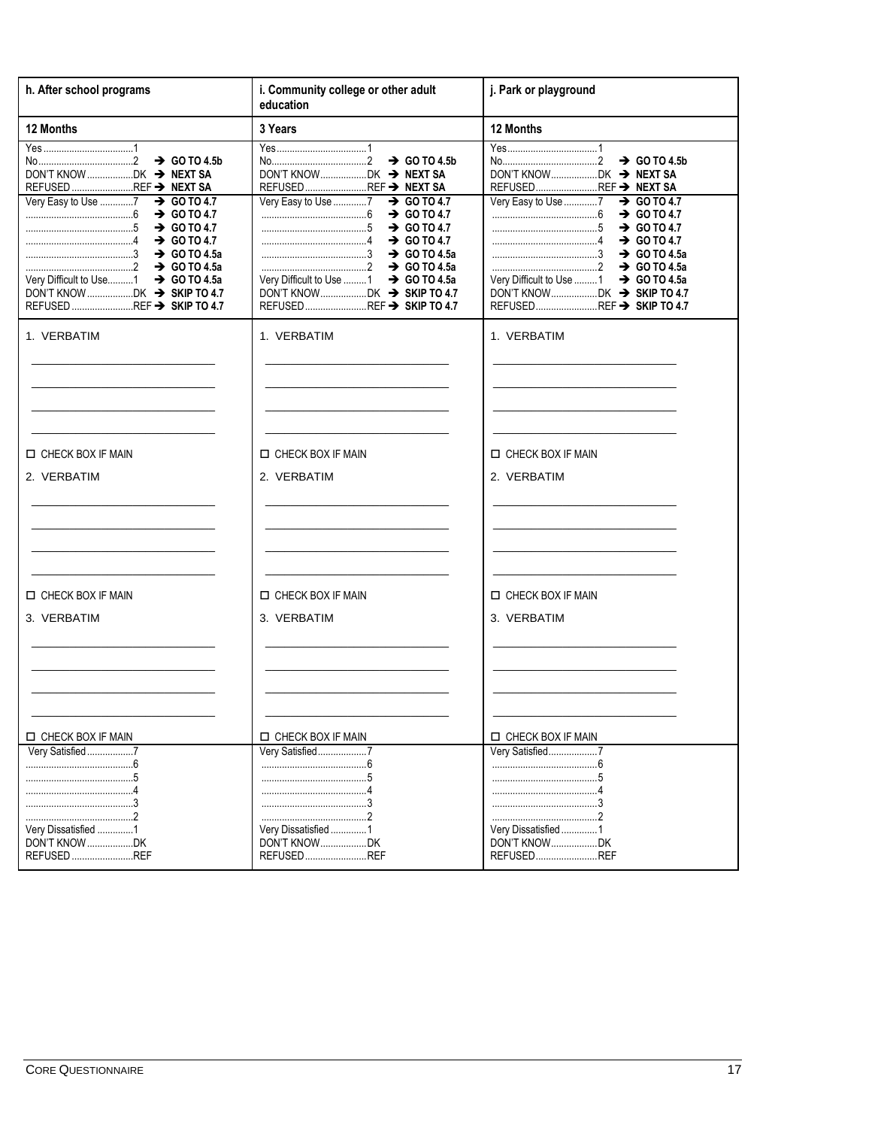| h. After school programs                                                                                                                                                                                                                             | i. Community college or other adult<br>education                                                                                                                                                                                                                                                                       | j. Park or playground                                                                                                                                                                                                                                                                             |
|------------------------------------------------------------------------------------------------------------------------------------------------------------------------------------------------------------------------------------------------------|------------------------------------------------------------------------------------------------------------------------------------------------------------------------------------------------------------------------------------------------------------------------------------------------------------------------|---------------------------------------------------------------------------------------------------------------------------------------------------------------------------------------------------------------------------------------------------------------------------------------------------|
| 12 Months                                                                                                                                                                                                                                            | 3 Years                                                                                                                                                                                                                                                                                                                | 12 Months                                                                                                                                                                                                                                                                                         |
| Yes……………………………1<br>REFUSED REF → NEXT SA<br>Very Easy to Use 7 > GO TO 4.7<br>$\rightarrow$ GO TO 4.7<br>$\rightarrow$ GO TO 4.7<br>$\ldots$ GO TO 4.7<br>$\ldots$ GO TO 4.5a<br>Very Difficult to Use   1 → GO TO 4.5a<br>REFUSED REF → SKIP TO 4.7 | $\rightarrow$ GO TO 4.5b<br>DON'T KNOWDK → NEXT SA<br>REFUSEDREF → NEXT SA<br>Very Easy to Use 7<br>$\rightarrow$ GO TO 4.7<br>$\rightarrow$ GO TO 4.7<br>$\rightarrow$ GO TO 4.7<br>$\rightarrow$ GO TO 4.7<br>$\ldots$ GO TO 4.5a<br>Very Difficult to Use 1<br>$\rightarrow$ GO TO 4.5a<br>REFUSEDREF → SKIP TO 4.7 | $\rightarrow$ GO TO 4.5b<br>REFUSEDREF → NEXT SA<br>Very Easy to Use 7<br>$\rightarrow$ GO TO 4.7<br>$\rightarrow$ GO TO 4.7<br>$\rightarrow$ GO TO 4.7<br>$\rightarrow$ GO TO 4.7<br>$\rightarrow$ GO TO 4.5a<br>Very Difficult to Use 1<br>$\rightarrow$ GO TO 4.5a<br>REFUSEDREF → SKIP TO 4.7 |
| 1. VERBATIM                                                                                                                                                                                                                                          | 1. VERBATIM                                                                                                                                                                                                                                                                                                            | 1. VERBATIM                                                                                                                                                                                                                                                                                       |
| CHECK BOX IF MAIN                                                                                                                                                                                                                                    | <b>IN CHECK BOX IF MAIN</b>                                                                                                                                                                                                                                                                                            | CHECK BOX IF MAIN                                                                                                                                                                                                                                                                                 |
| 2. VERBATIM                                                                                                                                                                                                                                          | 2. VERBATIM                                                                                                                                                                                                                                                                                                            | 2. VERBATIM                                                                                                                                                                                                                                                                                       |
| CHECK BOX IF MAIN                                                                                                                                                                                                                                    | CHECK BOX IF MAIN                                                                                                                                                                                                                                                                                                      | <b>IN CHECK BOX IF MAIN</b>                                                                                                                                                                                                                                                                       |
| 3. VERBATIM                                                                                                                                                                                                                                          | 3. VERBATIM                                                                                                                                                                                                                                                                                                            | 3. VERBATIM                                                                                                                                                                                                                                                                                       |
| CHECK BOX IF MAIN                                                                                                                                                                                                                                    | CHECK BOX IF MAIN                                                                                                                                                                                                                                                                                                      | CHECK BOX IF MAIN                                                                                                                                                                                                                                                                                 |
| Very Satisfied7<br>Very Dissatisfied 1<br>DON'T KNOW DK<br>REFUSED REF                                                                                                                                                                               | Very Satisfied7<br>Very Dissatisfied 1<br>DON'T KNOWDK<br>REFUSEDREF                                                                                                                                                                                                                                                   | Very Satisfied7<br>Very Dissatisfied 1<br>DON'T KNOWDK<br>REFUSEDREF                                                                                                                                                                                                                              |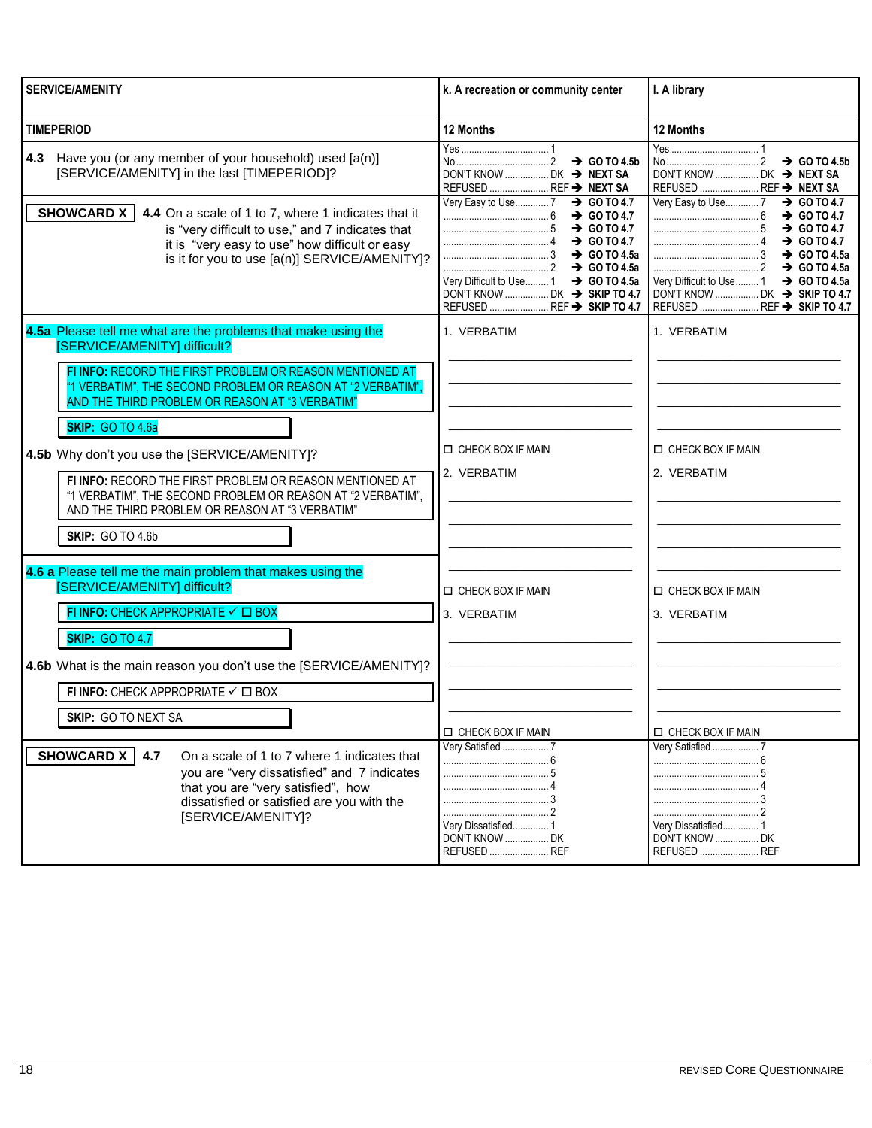| <b>SERVICE/AMENITY</b>                                                                                                                                                                                                                                                                                                                                                                                                                                                                                                                                           | k. A recreation or community center                                                                   | I. A library                                                                                                                                                                                              |
|------------------------------------------------------------------------------------------------------------------------------------------------------------------------------------------------------------------------------------------------------------------------------------------------------------------------------------------------------------------------------------------------------------------------------------------------------------------------------------------------------------------------------------------------------------------|-------------------------------------------------------------------------------------------------------|-----------------------------------------------------------------------------------------------------------------------------------------------------------------------------------------------------------|
| <b>TIMEPERIOD</b>                                                                                                                                                                                                                                                                                                                                                                                                                                                                                                                                                | 12 Months                                                                                             | 12 Months                                                                                                                                                                                                 |
| 4.3 Have you (or any member of your household) used [a(n)]<br>[SERVICE/AMENITY] in the last [TIMEPERIOD]?                                                                                                                                                                                                                                                                                                                                                                                                                                                        | $\rightarrow$ GO TO 4.5b<br>DON'T KNOW  DK → NEXT SA<br>REFUSED  REF → NEXT SA                        | DON'T KNOW  DK → NEXT SA<br>REFUSED  REF → NEXT SA                                                                                                                                                        |
| SHOWCARD X  <br>4.4 On a scale of 1 to 7, where 1 indicates that it<br>is "very difficult to use," and 7 indicates that<br>it is "very easy to use" how difficult or easy<br>is it for you to use [a(n)] SERVICE/AMENITY]?                                                                                                                                                                                                                                                                                                                                       | Very Easy to Use 7 > GO TO 4.7<br>Very Difficult to Use  1 → GO TO 4.5a<br>REFUSED  REF → SKIP TO 4.7 | Very Easy to Use7<br>$\rightarrow$ GO TO 4.7<br>$\rightarrow$ GO TO 4.7<br>$\rightarrow$ GO TO 4.7<br>Very Difficult to Use  1 → GO TO 4.5a<br>DON'T KNOW  DK → SKIP TO 4.7<br>REFUSED  REF → SKIP TO 4.7 |
| 4.5a Please tell me what are the problems that make using the<br>[SERVICE/AMENITY] difficult?<br>FI INFO: RECORD THE FIRST PROBLEM OR REASON MENTIONED AT<br>"1 VERBATIM", THE SECOND PROBLEM OR REASON AT "2 VERBATIM",<br>AND THE THIRD PROBLEM OR REASON AT "3 VERBATIM"<br><b>SKIP: GO TO 4.6a</b><br>4.5b Why don't you use the [SERVICE/AMENITY]?<br>FI INFO: RECORD THE FIRST PROBLEM OR REASON MENTIONED AT<br>"1 VERBATIM", THE SECOND PROBLEM OR REASON AT "2 VERBATIM",<br>AND THE THIRD PROBLEM OR REASON AT "3 VERBATIM"<br><b>SKIP: GO TO 4.6b</b> | 1. VERBATIM<br><b>O CHECK BOX IF MAIN</b><br>2. VERBATIM                                              | 1. VERBATIM<br>$\Box$ CHECK BOX IF MAIN<br>2. VERBATIM                                                                                                                                                    |
| 4.6 a Please tell me the main problem that makes using the<br>[SERVICE/AMENITY] difficult?<br>FI INFO: CHECK APPROPRIATE $\checkmark$ $\Box$ BOX<br><b>SKIP: GO TO 4.7</b>                                                                                                                                                                                                                                                                                                                                                                                       | <b>IN CHECK BOX IF MAIN</b><br>3. VERBATIM                                                            | <b>D CHECK BOX IF MAIN</b><br>3. VERBATIM                                                                                                                                                                 |
| 4.6b What is the main reason you don't use the [SERVICE/AMENITY]?<br>FI INFO: CHECK APPROPRIATE $\checkmark$ $\Box$ BOX<br><b>SKIP: GO TO NEXT SA</b><br><b>SHOWCARD X</b><br>4.7<br>On a scale of 1 to 7 where 1 indicates that<br>you are "very dissatisfied" and 7 indicates<br>that you are "very satisfied", how<br>dissatisfied or satisfied are you with the                                                                                                                                                                                              | <b>ID CHECK BOX IF MAIN</b><br>Very Satisfied  7                                                      | <b>ID CHECK BOX IF MAIN</b><br>Very Satisfied  7                                                                                                                                                          |
| [SERVICE/AMENITY]?                                                                                                                                                                                                                                                                                                                                                                                                                                                                                                                                               | Very Dissatisfied 1<br><b>DON'T KNOW  DK</b><br>REFUSED  REF                                          | Very Dissatisfied 1<br>DON'T KNOW  DK<br>REFUSED  REF                                                                                                                                                     |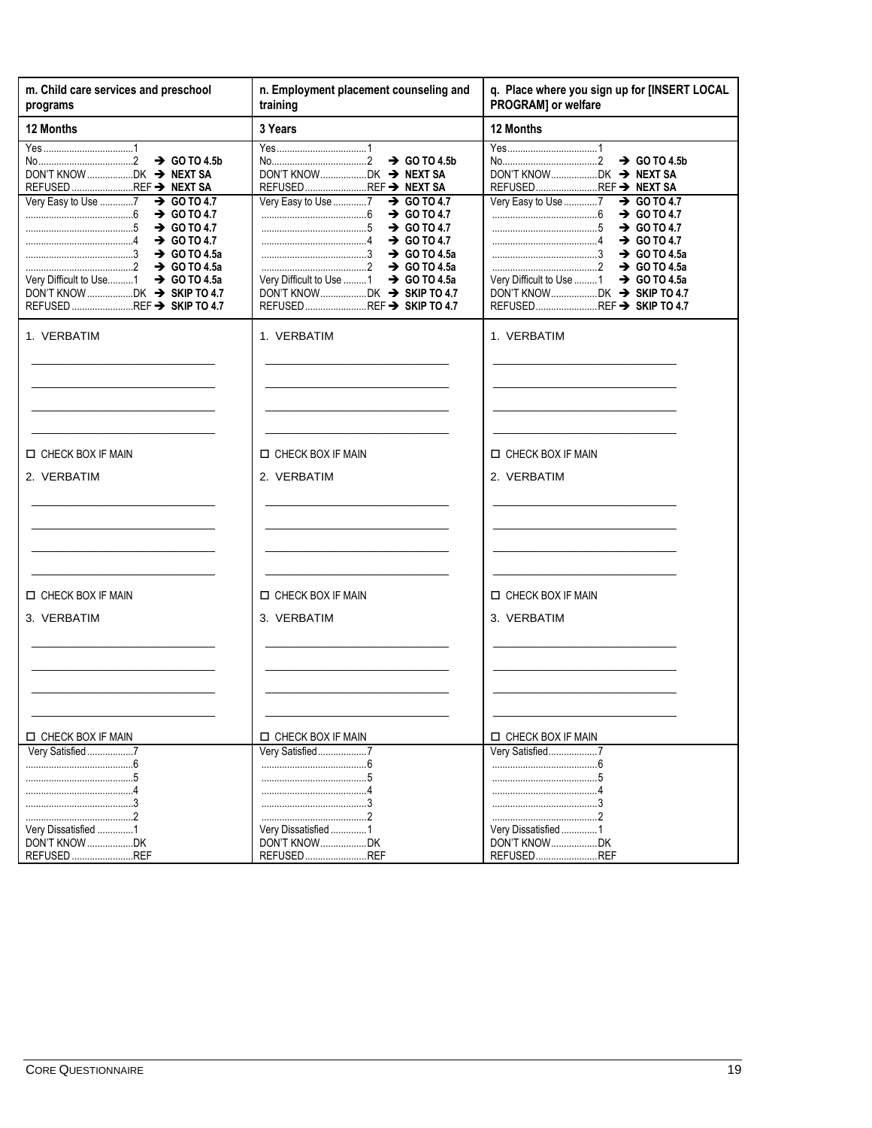| m. Child care services and preschool<br>programs                                                                                                                                     | n. Employment placement counseling and<br>training                                                                                                                                                                                       | q. Place where you sign up for [INSERT LOCAL<br>PROGRAM] or welfare                                                                                                                                                                      |
|--------------------------------------------------------------------------------------------------------------------------------------------------------------------------------------|------------------------------------------------------------------------------------------------------------------------------------------------------------------------------------------------------------------------------------------|------------------------------------------------------------------------------------------------------------------------------------------------------------------------------------------------------------------------------------------|
| 12 Months                                                                                                                                                                            | 3 Years                                                                                                                                                                                                                                  | 12 Months                                                                                                                                                                                                                                |
| REFUSED REF → NEXT SA                                                                                                                                                                | $\rightarrow$ GO TO 4.5b<br>REFUSEDREF → NEXT SA                                                                                                                                                                                         | $\rightarrow$ GO TO 4.5b<br>REFUSEDREF → NEXT SA                                                                                                                                                                                         |
| Very Easy to Use 7 > GO TO 4.7<br>$\rightarrow$ GO TO 4.7<br>$\rightarrow$ GO TO 4.7<br>$\rightarrow$ GO TO 4.7<br>Very Difficult to Use 1 → GO TO 4.5a<br>REFUSED REF → SKIP TO 4.7 | Very Easy to Use 7<br>$\rightarrow$ GO TO 4.7<br>$\rightarrow$ GO TO 4.7<br>$\rightarrow$ GO TO 4.7<br>$\rightarrow$ GO TO 4.7<br>$\ldots$ GO TO 4.5a<br>Very Difficult to Use 1<br>$\rightarrow$ GO TO 4.5a<br>REFUSEDREF → SKIP TO 4.7 | Very Easy to Use 7<br>$\rightarrow$ GO TO 4.7<br>$\rightarrow$ GO TO 4.7<br>$\rightarrow$ GO TO 4.7<br>$\rightarrow$ GO TO 4.7<br>$\ldots$ GO TO 4.5a<br>Very Difficult to Use 1<br>$\rightarrow$ GO TO 4.5a<br>REFUSEDREF → SKIP TO 4.7 |
| 1. VERBATIM                                                                                                                                                                          | 1. VERBATIM                                                                                                                                                                                                                              | 1. VERBATIM                                                                                                                                                                                                                              |
| CHECK BOX IF MAIN                                                                                                                                                                    | CHECK BOX IF MAIN                                                                                                                                                                                                                        | CHECK BOX IF MAIN                                                                                                                                                                                                                        |
| 2. VERBATIM                                                                                                                                                                          | 2. VERBATIM                                                                                                                                                                                                                              | 2. VERBATIM                                                                                                                                                                                                                              |
| CHECK BOX IF MAIN                                                                                                                                                                    | CHECK BOX IF MAIN                                                                                                                                                                                                                        | CHECK BOX IF MAIN                                                                                                                                                                                                                        |
| 3. VERBATIM                                                                                                                                                                          | 3. VERBATIM                                                                                                                                                                                                                              | 3. VERBATIM                                                                                                                                                                                                                              |
| CHECK BOX IF MAIN                                                                                                                                                                    | CHECK BOX IF MAIN                                                                                                                                                                                                                        | CHECK BOX IF MAIN                                                                                                                                                                                                                        |
| Very Satisfied7<br>Very Dissatisfied 1<br>DON'T KNOW DK<br>REFUSED REF                                                                                                               | Very Satisfied7<br>Very Dissatisfied1<br>DON'T KNOWDK<br>REFUSEDREF                                                                                                                                                                      | Very Satisfied7<br>Very Dissatisfied1<br>DON'T KNOWDK<br>REFUSEDREF                                                                                                                                                                      |